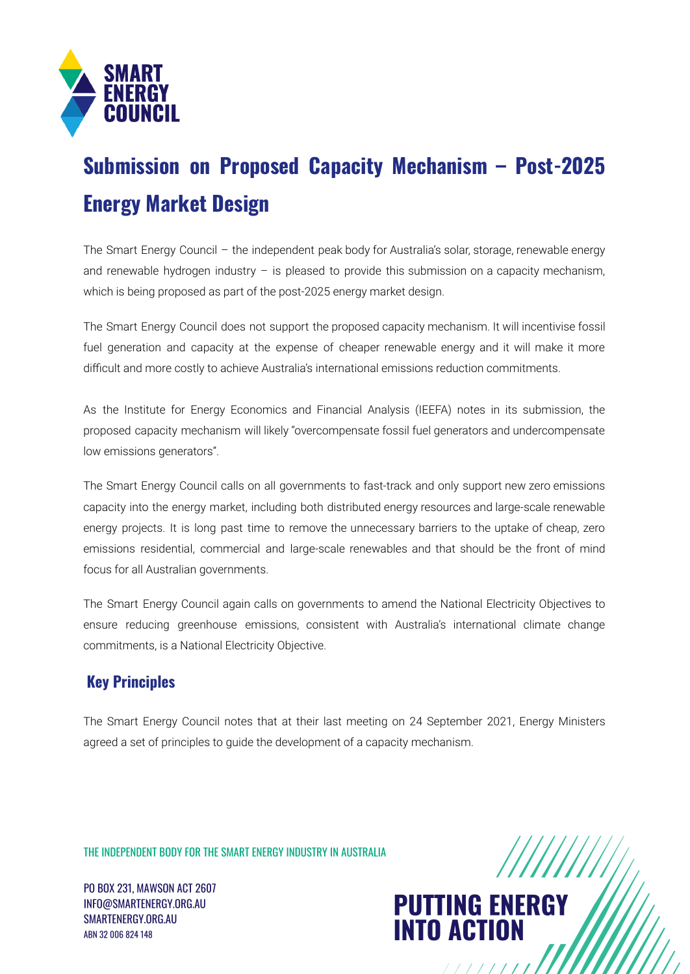

## **Submission on Proposed Capacity Mechanism – Post-2025 Energy Market Design**

The Smart Energy Council – the independent peak body for Australia's solar, storage, renewable energy and renewable hydrogen industry  $-$  is pleased to provide this submission on a capacity mechanism, which is being proposed as part of the post-2025 energy market design.

The Smart Energy Council does not support the proposed capacity mechanism. It will incentivise fossil fuel generation and capacity at the expense of cheaper renewable energy and it will make it more difficult and more costly to achieve Australia's international emissions reduction commitments.

As the Institute for Energy Economics and Financial Analysis (IEEFA) notes in its submission, the proposed capacity mechanism will likely "overcompensate fossil fuel generators and undercompensate low emissions generators".

The Smart Energy Council calls on all governments to fast-track and only support new zero emissions capacity into the energy market, including both distributed energy resources and large-scale renewable energy projects. It is long past time to remove the unnecessary barriers to the uptake of cheap, zero emissions residential, commercial and large-scale renewables and that should be the front of mind focus for all Australian governments.

The Smart Energy Council again calls on governments to amend the National Electricity Objectives to ensure reducing greenhouse emissions, consistent with Australia's international climate change commitments, is a National Electricity Objective.

## **Key Principles**

The Smart Energy Council notes that at their last meeting on 24 September 2021, Energy Ministers agreed a set of principles to guide the development of a capacity mechanism.

THE INDEPENDENT BODY FOR THE SMART ENERGY INDUSTRY IN AUSTRALIA

PO BOX 231, MAWSON ACT 2607 INFO@SMARTENERGY.ORG.AU SMARTENERGY.ORG.AU ABN 32 006 824 148



 $11111111$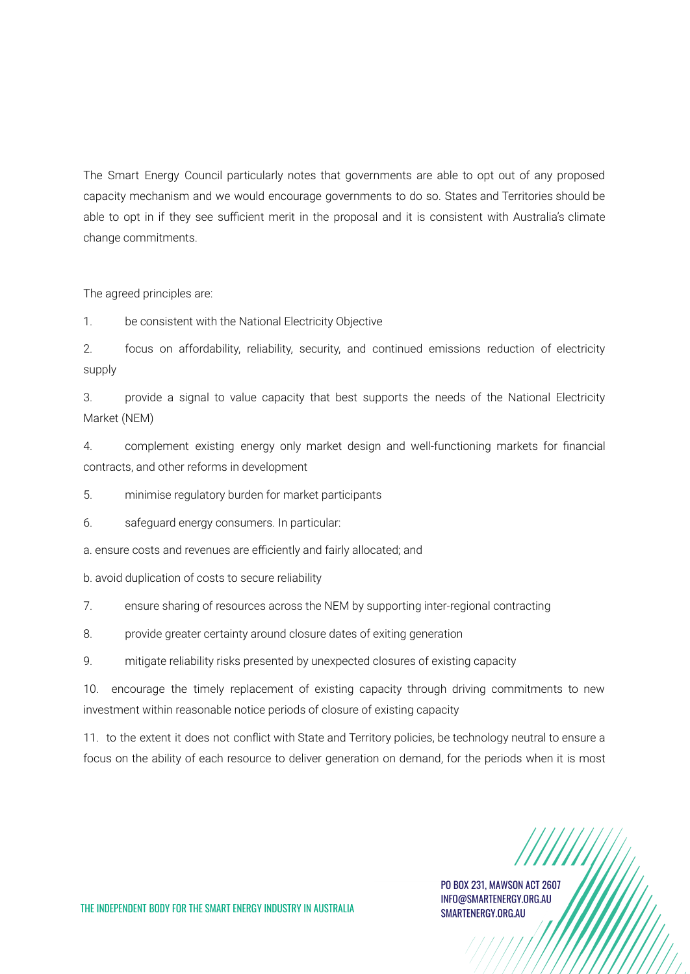The Smart Energy Council particularly notes that governments are able to opt out of any proposed capacity mechanism and we would encourage governments to do so. States and Territories should be able to opt in if they see sufficient merit in the proposal and it is consistent with Australia's climate change commitments.

The agreed principles are:

1. be consistent with the National Electricity Objective

2. focus on affordability, reliability, security, and continued emissions reduction of electricity supply

3. provide a signal to value capacity that best supports the needs of the National Electricity Market (NEM)

4. complement existing energy only market design and well-functioning markets for financial contracts, and other reforms in development

5. minimise regulatory burden for market participants

6. safeguard energy consumers. In particular:

a. ensure costs and revenues are efficiently and fairly allocated; and

b. avoid duplication of costs to secure reliability

7. ensure sharing of resources across the NEM by supporting inter-regional contracting

8. provide greater certainty around closure dates of exiting generation

9. mitigate reliability risks presented by unexpected closures of existing capacity

10. encourage the timely replacement of existing capacity through driving commitments to new investment within reasonable notice periods of closure of existing capacity

11. to the extent it does not conflict with State and Territory policies, be technology neutral to ensure a focus on the ability of each resource to deliver generation on demand, for the periods when it is most

PO BOX 231, MAWSON ACT 2607 INFO@SMARTENERGY.ORG.AU SMARTENERGY.ORG.AU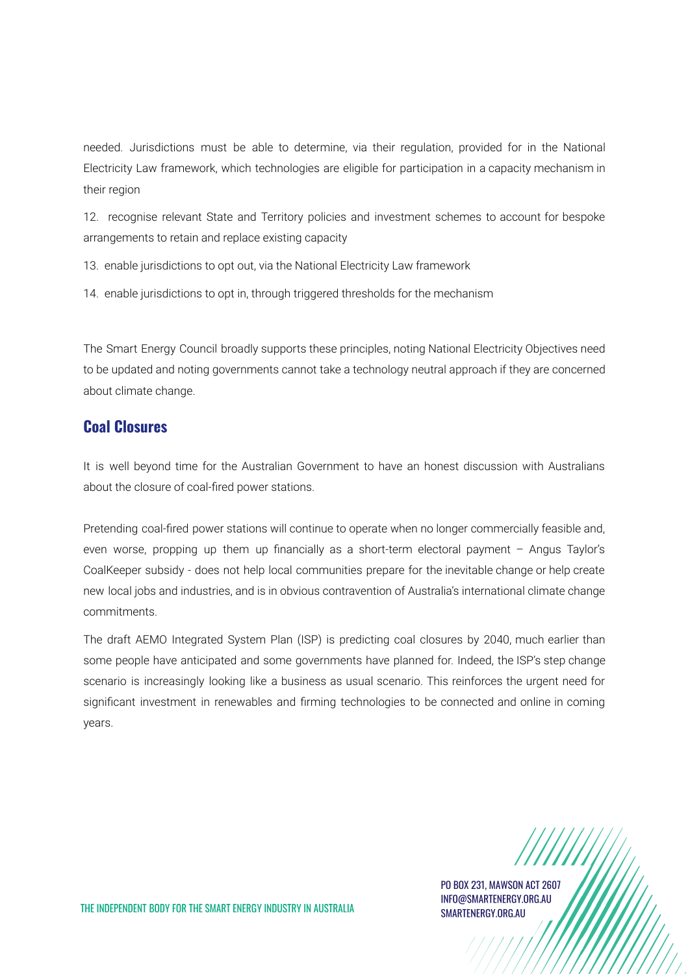needed. Jurisdictions must be able to determine, via their regulation, provided for in the National Electricity Law framework, which technologies are eligible for participation in a capacity mechanism in their region

12. recognise relevant State and Territory policies and investment schemes to account for bespoke arrangements to retain and replace existing capacity

13. enable jurisdictions to opt out, via the National Electricity Law framework

14. enable jurisdictions to opt in, through triggered thresholds for the mechanism

The Smart Energy Council broadly supports these principles, noting National Electricity Objectives need to be updated and noting governments cannot take a technology neutral approach if they are concerned about climate change.

## **Coal Closures**

It is well beyond time for the Australian Government to have an honest discussion with Australians about the closure of coal-fired power stations.

Pretending coal-fired power stations will continue to operate when no longer commercially feasible and, even worse, propping up them up financially as a short-term electoral payment – Angus Taylor's CoalKeeper subsidy - does not help local communities prepare for the inevitable change or help create new local jobs and industries, and is in obvious contravention of Australia's international climate change commitments.

The draft AEMO Integrated System Plan (ISP) is predicting coal closures by 2040, much earlier than some people have anticipated and some governments have planned for. Indeed, the ISP's step change scenario is increasingly looking like a business as usual scenario. This reinforces the urgent need for significant investment in renewables and firming technologies to be connected and online in coming years.

PO BOX 231, MAWSON ACT 2607 INFO@SMARTENERGY.ORG.AU SMARTENERGY.ORG.AU